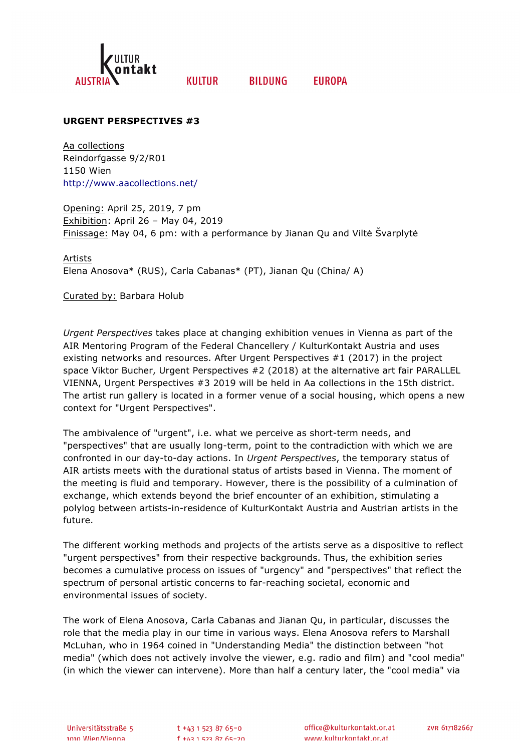

**KIIITIIR** 

**BILDUNG FUROPA** 

## **URGENT PERSPECTIVES #3**

Aa collections Reindorfgasse 9/2/R01 1150 Wien http://www.aacollections.net/

Opening: April 25, 2019, 7 pm Exhibition: April 26 – May 04, 2019 Finissage: May 04, 6 pm: with a performance by Jianan Qu and Viltė Švarplytė

Artists Elena Anosova\* (RUS), Carla Cabanas\* (PT), Jianan Qu (China/ A)

Curated by: Barbara Holub

*Urgent Perspectives* takes place at changing exhibition venues in Vienna as part of the AIR Mentoring Program of the Federal Chancellery / KulturKontakt Austria and uses existing networks and resources. After Urgent Perspectives #1 (2017) in the project space Viktor Bucher, Urgent Perspectives #2 (2018) at the alternative art fair PARALLEL VIENNA, Urgent Perspectives #3 2019 will be held in Aa collections in the 15th district. The artist run gallery is located in a former venue of a social housing, which opens a new context for "Urgent Perspectives".

The ambivalence of "urgent", i.e. what we perceive as short-term needs, and "perspectives" that are usually long-term, point to the contradiction with which we are confronted in our day-to-day actions. In *Urgent Perspectives*, the temporary status of AIR artists meets with the durational status of artists based in Vienna. The moment of the meeting is fluid and temporary. However, there is the possibility of a culmination of exchange, which extends beyond the brief encounter of an exhibition, stimulating a polylog between artists-in-residence of KulturKontakt Austria and Austrian artists in the future.

The different working methods and projects of the artists serve as a dispositive to reflect "urgent perspectives" from their respective backgrounds. Thus, the exhibition series becomes a cumulative process on issues of "urgency" and "perspectives" that reflect the spectrum of personal artistic concerns to far-reaching societal, economic and environmental issues of society.

The work of Elena Anosova, Carla Cabanas and Jianan Qu, in particular, discusses the role that the media play in our time in various ways. Elena Anosova refers to Marshall McLuhan, who in 1964 coined in "Understanding Media" the distinction between "hot media" (which does not actively involve the viewer, e.g. radio and film) and "cool media" (in which the viewer can intervene). More than half a century later, the "cool media" via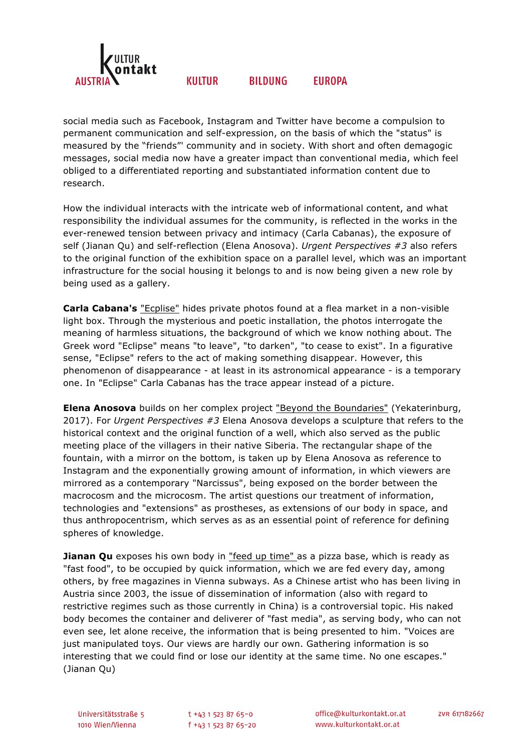

#### **KIIITIIR BILDUNG FUROPA**

social media such as Facebook, Instagram and Twitter have become a compulsion to permanent communication and self-expression, on the basis of which the "status" is measured by the "friends"' community and in society. With short and often demagogic messages, social media now have a greater impact than conventional media, which feel obliged to a differentiated reporting and substantiated information content due to research.

How the individual interacts with the intricate web of informational content, and what responsibility the individual assumes for the community, is reflected in the works in the ever-renewed tension between privacy and intimacy (Carla Cabanas), the exposure of self (Jianan Qu) and self-reflection (Elena Anosova). *Urgent Perspectives #3* also refers to the original function of the exhibition space on a parallel level, which was an important infrastructure for the social housing it belongs to and is now being given a new role by being used as a gallery.

**Carla Cabana's** "Ecplise" hides private photos found at a flea market in a non-visible light box. Through the mysterious and poetic installation, the photos interrogate the meaning of harmless situations, the background of which we know nothing about. The Greek word "Eclipse" means "to leave", "to darken", "to cease to exist". In a figurative sense, "Eclipse" refers to the act of making something disappear. However, this phenomenon of disappearance - at least in its astronomical appearance - is a temporary one. In "Eclipse" Carla Cabanas has the trace appear instead of a picture.

**Elena Anosova** builds on her complex project "Beyond the Boundaries" (Yekaterinburg, 2017). For *Urgent Perspectives #3* Elena Anosova develops a sculpture that refers to the historical context and the original function of a well, which also served as the public meeting place of the villagers in their native Siberia. The rectangular shape of the fountain, with a mirror on the bottom, is taken up by Elena Anosova as reference to Instagram and the exponentially growing amount of information, in which viewers are mirrored as a contemporary "Narcissus", being exposed on the border between the macrocosm and the microcosm. The artist questions our treatment of information, technologies and "extensions" as prostheses, as extensions of our body in space, and thus anthropocentrism, which serves as as an essential point of reference for defining spheres of knowledge.

**Jianan Qu** exposes his own body in "feed up time" as a pizza base, which is ready as "fast food", to be occupied by quick information, which we are fed every day, among others, by free magazines in Vienna subways. As a Chinese artist who has been living in Austria since 2003, the issue of dissemination of information (also with regard to restrictive regimes such as those currently in China) is a controversial topic. His naked body becomes the container and deliverer of "fast media", as serving body, who can not even see, let alone receive, the information that is being presented to him. "Voices are just manipulated toys. Our views are hardly our own. Gathering information is so interesting that we could find or lose our identity at the same time. No one escapes." (Jianan Qu)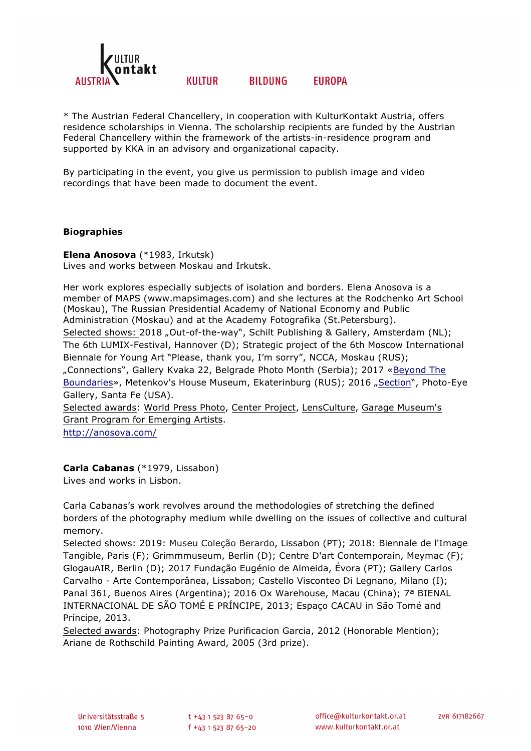

### **KIIITIIR BILDUNG FUROPA**

\* The Austrian Federal Chancellery, in cooperation with KulturKontakt Austria, offers residence scholarships in Vienna. The scholarship recipients are funded by the Austrian Federal Chancellery within the framework of the artists-in-residence program and supported by KKA in an advisory and organizational capacity.

By participating in the event, you give us permission to publish image and video recordings that have been made to document the event.

## **Biographies**

**Elena Anosova** (\*1983, Irkutsk) Lives and works between Moskau and Irkutsk.

Her work explores especially subjects of isolation and borders. Elena Anosova is a member of MAPS (www.mapsimages.com) and she lectures at the Rodchenko Art School (Moskau), The Russian Presidential Academy of National Economy and Public Administration (Moskau) and at the Academy Fotografika (St.Petersburg). Selected shows: 2018 "Out-of-the-way", Schilt Publishing & Gallery, Amsterdam (NL); The 6th LUMIX-Festival, Hannover (D); Strategic project of the 6th Moscow International Biennale for Young Art "Please, thank you, I'm sorry", NCCA, Moskau (RUS); "Connections", Gallery Kvaka 22, Belgrade Photo Month (Serbia); 2017 «Beyond The Boundaries», Metenkov's House Museum, Ekaterinburg (RUS); 2016 "Section", Photo-Eye Gallery, Santa Fe (USA). Selected awards: World Press Photo, Center Project, LensCulture, Garage Museum's

Grant Program for Emerging Artists.

http://anosova.com/

# **Carla Cabanas** (\*1979, Lissabon)

Lives and works in Lisbon.

Carla Cabanas's work revolves around the methodologies of stretching the defined borders of the photography medium while dwelling on the issues of collective and cultural memory.

Selected shows: 2019: Museu Coleção Berardo, Lissabon (PT); 2018: Biennale de l'Image Tangible, Paris (F); Grimmmuseum, Berlin (D); Centre D'art Contemporain, Meymac (F); GlogauAIR, Berlin (D); 2017 Fundação Eugénio de Almeida, Évora (PT); Gallery Carlos Carvalho - Arte Contemporânea, Lissabon; Castello Visconteo Di Legnano, Milano (I); Panal 361, Buenos Aires (Argentina); 2016 Ox Warehouse, Macau (China); 7ª BIENAL INTERNACIONAL DE SÃO TOMÉ E PRÍNCIPE, 2013; Espaço CACAU in São Tomé and Príncipe, 2013.

Selected awards: Photography Prize Purificacion Garcia, 2012 (Honorable Mention); Ariane de Rothschild Painting Award, 2005 (3rd prize).